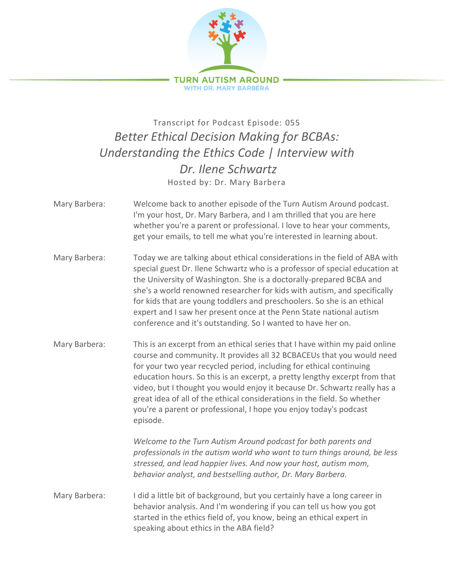

## Transcript for Podcast Episode: 055 *Better Ethical Decision Making for BCBAs: Understanding the Ethics Code | Interview with Dr. Ilene Schwartz* Hosted by: Dr. Mary Barbera

- Mary Barbera: Welcome back to another episode of the Turn Autism Around podcast. I'm your host, Dr. Mary Barbera, and I am thrilled that you are here whether you're a parent or professional. I love to hear your comments, get your emails, to tell me what you're interested in learning about.
- Mary Barbera: Today we are talking about ethical considerations in the field of ABA with special guest Dr. Ilene Schwartz who is a professor of special education at the University of Washington. She is a doctorally-prepared BCBA and she's a world renowned researcher for kids with autism, and specifically for kids that are young toddlers and preschoolers. So she is an ethical expert and I saw her present once at the Penn State national autism conference and it's outstanding. So I wanted to have her on.
- Mary Barbera: This is an excerpt from an ethical series that I have within my paid online course and community. It provides all 32 BCBACEUs that you would need for your two year recycled period, including for ethical continuing education hours. So this is an excerpt, a pretty lengthy excerpt from that video, but I thought you would enjoy it because Dr. Schwartz really has a great idea of all of the ethical considerations in the field. So whether you're a parent or professional, I hope you enjoy today's podcast episode.

*Welcome to the Turn Autism Around podcast for both parents and professionals in the autism world who want to turn things around, be less stressed, and lead happier lives. And now your host, autism mom, behavior analyst, and bestselling author, Dr. Mary Barbera.*

Mary Barbera: I did a little bit of background, but you certainly have a long career in behavior analysis. And I'm wondering if you can tell us how you got started in the ethics field of, you know, being an ethical expert in speaking about ethics in the ABA field?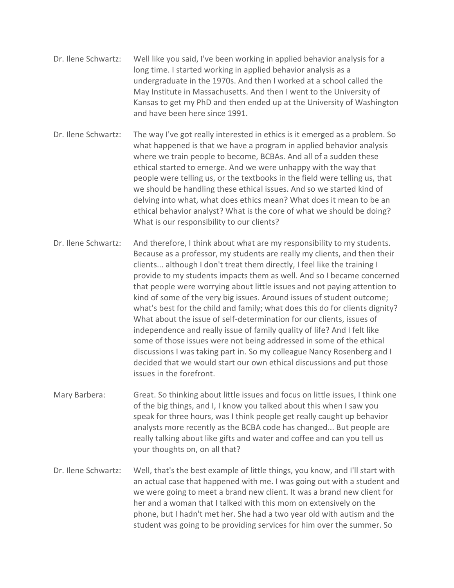- Dr. Ilene Schwartz: Well like you said, I've been working in applied behavior analysis for a long time. I started working in applied behavior analysis as a undergraduate in the 1970s. And then I worked at a school called the May Institute in Massachusetts. And then I went to the University of Kansas to get my PhD and then ended up at the University of Washington and have been here since 1991.
- Dr. Ilene Schwartz: The way I've got really interested in ethics is it emerged as a problem. So what happened is that we have a program in applied behavior analysis where we train people to become, BCBAs. And all of a sudden these ethical started to emerge. And we were unhappy with the way that people were telling us, or the textbooks in the field were telling us, that we should be handling these ethical issues. And so we started kind of delving into what, what does ethics mean? What does it mean to be an ethical behavior analyst? What is the core of what we should be doing? What is our responsibility to our clients?
- Dr. Ilene Schwartz: And therefore, I think about what are my responsibility to my students. Because as a professor, my students are really my clients, and then their clients... although I don't treat them directly, I feel like the training I provide to my students impacts them as well. And so I became concerned that people were worrying about little issues and not paying attention to kind of some of the very big issues. Around issues of student outcome; what's best for the child and family; what does this do for clients dignity? What about the issue of self-determination for our clients, issues of independence and really issue of family quality of life? And I felt like some of those issues were not being addressed in some of the ethical discussions I was taking part in. So my colleague Nancy Rosenberg and I decided that we would start our own ethical discussions and put those issues in the forefront.
- Mary Barbera: Great. So thinking about little issues and focus on little issues, I think one of the big things, and I, I know you talked about this when I saw you speak for three hours, was I think people get really caught up behavior analysts more recently as the BCBA code has changed... But people are really talking about like gifts and water and coffee and can you tell us your thoughts on, on all that?
- Dr. Ilene Schwartz: Well, that's the best example of little things, you know, and I'll start with an actual case that happened with me. I was going out with a student and we were going to meet a brand new client. It was a brand new client for her and a woman that I talked with this mom on extensively on the phone, but I hadn't met her. She had a two year old with autism and the student was going to be providing services for him over the summer. So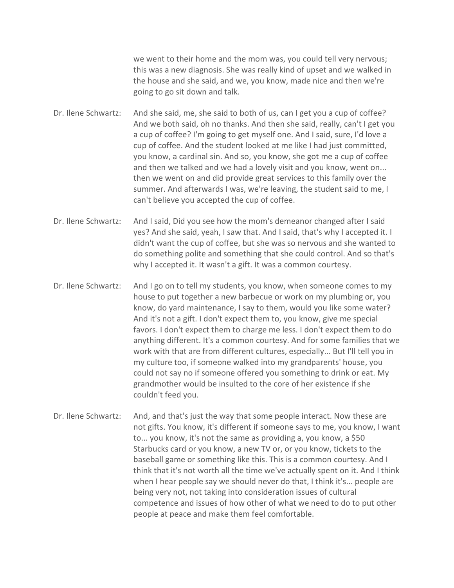we went to their home and the mom was, you could tell very nervous; this was a new diagnosis. She was really kind of upset and we walked in the house and she said, and we, you know, made nice and then we're going to go sit down and talk.

Dr. Ilene Schwartz: And she said, me, she said to both of us, can I get you a cup of coffee? And we both said, oh no thanks. And then she said, really, can't I get you a cup of coffee? I'm going to get myself one. And I said, sure, I'd love a cup of coffee. And the student looked at me like I had just committed, you know, a cardinal sin. And so, you know, she got me a cup of coffee and then we talked and we had a lovely visit and you know, went on... then we went on and did provide great services to this family over the summer. And afterwards I was, we're leaving, the student said to me, I can't believe you accepted the cup of coffee.

Dr. Ilene Schwartz: And I said, Did you see how the mom's demeanor changed after I said yes? And she said, yeah, I saw that. And I said, that's why I accepted it. I didn't want the cup of coffee, but she was so nervous and she wanted to do something polite and something that she could control. And so that's why I accepted it. It wasn't a gift. It was a common courtesy.

Dr. Ilene Schwartz: And I go on to tell my students, you know, when someone comes to my house to put together a new barbecue or work on my plumbing or, you know, do yard maintenance, I say to them, would you like some water? And it's not a gift. I don't expect them to, you know, give me special favors. I don't expect them to charge me less. I don't expect them to do anything different. It's a common courtesy. And for some families that we work with that are from different cultures, especially... But I'll tell you in my culture too, if someone walked into my grandparents' house, you could not say no if someone offered you something to drink or eat. My grandmother would be insulted to the core of her existence if she couldn't feed you.

Dr. Ilene Schwartz: And, and that's just the way that some people interact. Now these are not gifts. You know, it's different if someone says to me, you know, I want to... you know, it's not the same as providing a, you know, a \$50 Starbucks card or you know, a new TV or, or you know, tickets to the baseball game or something like this. This is a common courtesy. And I think that it's not worth all the time we've actually spent on it. And I think when I hear people say we should never do that, I think it's... people are being very not, not taking into consideration issues of cultural competence and issues of how other of what we need to do to put other people at peace and make them feel comfortable.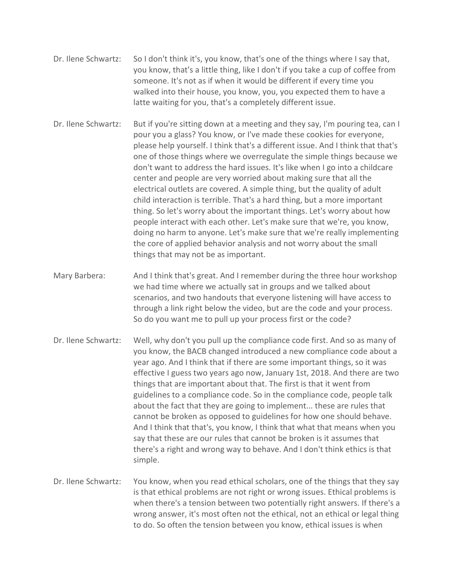- Dr. Ilene Schwartz: So I don't think it's, you know, that's one of the things where I say that, you know, that's a little thing, like I don't if you take a cup of coffee from someone. It's not as if when it would be different if every time you walked into their house, you know, you, you expected them to have a latte waiting for you, that's a completely different issue.
- Dr. Ilene Schwartz: But if you're sitting down at a meeting and they say, I'm pouring tea, can I pour you a glass? You know, or I've made these cookies for everyone, please help yourself. I think that's a different issue. And I think that that's one of those things where we overregulate the simple things because we don't want to address the hard issues. It's like when I go into a childcare center and people are very worried about making sure that all the electrical outlets are covered. A simple thing, but the quality of adult child interaction is terrible. That's a hard thing, but a more important thing. So let's worry about the important things. Let's worry about how people interact with each other. Let's make sure that we're, you know, doing no harm to anyone. Let's make sure that we're really implementing the core of applied behavior analysis and not worry about the small things that may not be as important.
- Mary Barbera: And I think that's great. And I remember during the three hour workshop we had time where we actually sat in groups and we talked about scenarios, and two handouts that everyone listening will have access to through a link right below the video, but are the code and your process. So do you want me to pull up your process first or the code?
- Dr. Ilene Schwartz: Well, why don't you pull up the compliance code first. And so as many of you know, the BACB changed introduced a new compliance code about a year ago. And I think that if there are some important things, so it was effective I guess two years ago now, January 1st, 2018. And there are two things that are important about that. The first is that it went from guidelines to a compliance code. So in the compliance code, people talk about the fact that they are going to implement... these are rules that cannot be broken as opposed to guidelines for how one should behave. And I think that that's, you know, I think that what that means when you say that these are our rules that cannot be broken is it assumes that there's a right and wrong way to behave. And I don't think ethics is that simple.
- Dr. Ilene Schwartz: You know, when you read ethical scholars, one of the things that they say is that ethical problems are not right or wrong issues. Ethical problems is when there's a tension between two potentially right answers. If there's a wrong answer, it's most often not the ethical, not an ethical or legal thing to do. So often the tension between you know, ethical issues is when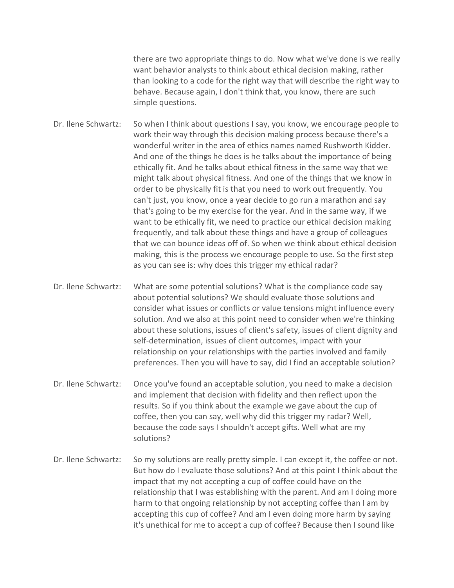there are two appropriate things to do. Now what we've done is we really want behavior analysts to think about ethical decision making, rather than looking to a code for the right way that will describe the right way to behave. Because again, I don't think that, you know, there are such simple questions.

Dr. Ilene Schwartz: So when I think about questions I say, you know, we encourage people to work their way through this decision making process because there's a wonderful writer in the area of ethics names named Rushworth Kidder. And one of the things he does is he talks about the importance of being ethically fit. And he talks about ethical fitness in the same way that we might talk about physical fitness. And one of the things that we know in order to be physically fit is that you need to work out frequently. You can't just, you know, once a year decide to go run a marathon and say that's going to be my exercise for the year. And in the same way, if we want to be ethically fit, we need to practice our ethical decision making frequently, and talk about these things and have a group of colleagues that we can bounce ideas off of. So when we think about ethical decision making, this is the process we encourage people to use. So the first step as you can see is: why does this trigger my ethical radar?

Dr. Ilene Schwartz: What are some potential solutions? What is the compliance code say about potential solutions? We should evaluate those solutions and consider what issues or conflicts or value tensions might influence every solution. And we also at this point need to consider when we're thinking about these solutions, issues of client's safety, issues of client dignity and self-determination, issues of client outcomes, impact with your relationship on your relationships with the parties involved and family preferences. Then you will have to say, did I find an acceptable solution?

- Dr. Ilene Schwartz: Once you've found an acceptable solution, you need to make a decision and implement that decision with fidelity and then reflect upon the results. So if you think about the example we gave about the cup of coffee, then you can say, well why did this trigger my radar? Well, because the code says I shouldn't accept gifts. Well what are my solutions?
- Dr. Ilene Schwartz: So my solutions are really pretty simple. I can except it, the coffee or not. But how do I evaluate those solutions? And at this point I think about the impact that my not accepting a cup of coffee could have on the relationship that I was establishing with the parent. And am I doing more harm to that ongoing relationship by not accepting coffee than I am by accepting this cup of coffee? And am I even doing more harm by saying it's unethical for me to accept a cup of coffee? Because then I sound like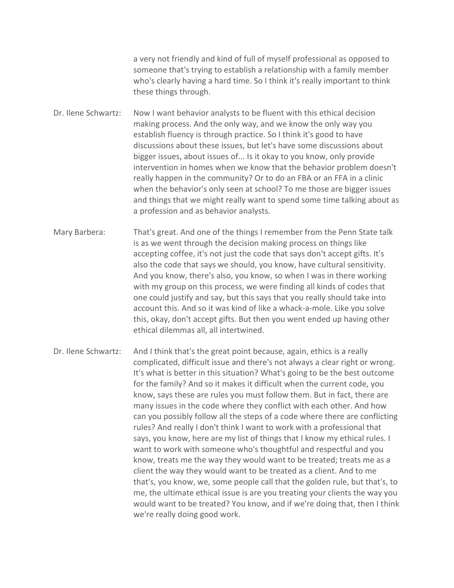a very not friendly and kind of full of myself professional as opposed to someone that's trying to establish a relationship with a family member who's clearly having a hard time. So I think it's really important to think these things through.

Dr. Ilene Schwartz: Now I want behavior analysts to be fluent with this ethical decision making process. And the only way, and we know the only way you establish fluency is through practice. So I think it's good to have discussions about these issues, but let's have some discussions about bigger issues, about issues of... Is it okay to you know, only provide intervention in homes when we know that the behavior problem doesn't really happen in the community? Or to do an FBA or an FFA in a clinic when the behavior's only seen at school? To me those are bigger issues and things that we might really want to spend some time talking about as a profession and as behavior analysts.

Mary Barbera: That's great. And one of the things I remember from the Penn State talk is as we went through the decision making process on things like accepting coffee, it's not just the code that says don't accept gifts. It's also the code that says we should, you know, have cultural sensitivity. And you know, there's also, you know, so when I was in there working with my group on this process, we were finding all kinds of codes that one could justify and say, but this says that you really should take into account this. And so it was kind of like a whack-a-mole. Like you solve this, okay, don't accept gifts. But then you went ended up having other ethical dilemmas all, all intertwined.

Dr. Ilene Schwartz: And I think that's the great point because, again, ethics is a really complicated, difficult issue and there's not always a clear right or wrong. It's what is better in this situation? What's going to be the best outcome for the family? And so it makes it difficult when the current code, you know, says these are rules you must follow them. But in fact, there are many issues in the code where they conflict with each other. And how can you possibly follow all the steps of a code where there are conflicting rules? And really I don't think I want to work with a professional that says, you know, here are my list of things that I know my ethical rules. I want to work with someone who's thoughtful and respectful and you know, treats me the way they would want to be treated; treats me as a client the way they would want to be treated as a client. And to me that's, you know, we, some people call that the golden rule, but that's, to me, the ultimate ethical issue is are you treating your clients the way you would want to be treated? You know, and if we're doing that, then I think we're really doing good work.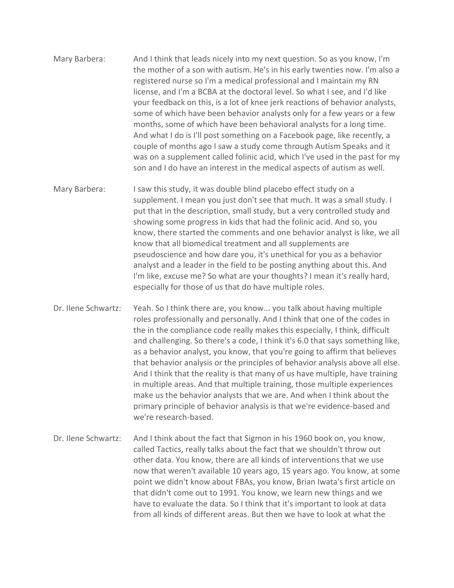- Mary Barbera: And I think that leads nicely into my next question. So as you know, I'm the mother of a son with autism. He's in his early twenties now. I'm also a registered nurse so I'm a medical professional and I maintain my RN license, and I'm a BCBA at the doctoral level. So what I see, and I'd like your feedback on this, is a lot of knee jerk reactions of behavior analysts, some of which have been behavior analysts only for a few years or a few months, some of which have been behavioral analysts for a long time. And what I do is I'll post something on a Facebook page, like recently, a couple of months ago I saw a study come through Autism Speaks and it was on a supplement called folinic acid, which I've used in the past for my son and I do have an interest in the medical aspects of autism as well.
- Mary Barbera: I saw this study, it was double blind placebo effect study on a supplement. I mean you just don't see that much. It was a small study. I put that in the description, small study, but a very controlled study and showing some progress in kids that had the folinic acid. And so, you know, there started the comments and one behavior analyst is like, we all know that all biomedical treatment and all supplements are pseudoscience and how dare you, it's unethical for you as a behavior analyst and a leader in the field to be posting anything about this. And I'm like, excuse me? So what are your thoughts? I mean it's really hard, especially for those of us that do have multiple roles.
- Dr. Ilene Schwartz: Yeah. So I think there are, you know... you talk about having multiple roles professionally and personally. And I think that one of the codes in the in the compliance code really makes this especially, I think, difficult and challenging. So there's a code, I think it's 6.0 that says something like, as a behavior analyst, you know, that you're going to affirm that believes that behavior analysis or the principles of behavior analysis above all else. And I think that the reality is that many of us have multiple, have training in multiple areas. And that multiple training, those multiple experiences make us the behavior analysts that we are. And when I think about the primary principle of behavior analysis is that we're evidence-based and we're research-based.
- Dr. Ilene Schwartz: And I think about the fact that Sigmon in his 1960 book on, you know, called Tactics, really talks about the fact that we shouldn't throw out other data. You know, there are all kinds of interventions that we use now that weren't available 10 years ago, 15 years ago. You know, at some point we didn't know about FBAs, you know, Brian Iwata's first article on that didn't come out to 1991. You know, we learn new things and we have to evaluate the data. So I think that it's important to look at data from all kinds of different areas. But then we have to look at what the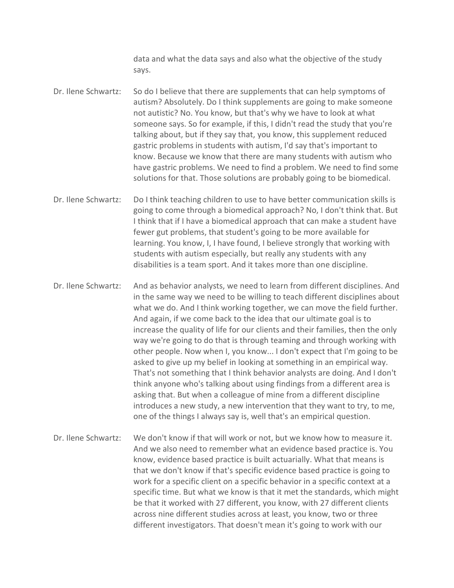data and what the data says and also what the objective of the study says.

- Dr. Ilene Schwartz: So do I believe that there are supplements that can help symptoms of autism? Absolutely. Do I think supplements are going to make someone not autistic? No. You know, but that's why we have to look at what someone says. So for example, if this, I didn't read the study that you're talking about, but if they say that, you know, this supplement reduced gastric problems in students with autism, I'd say that's important to know. Because we know that there are many students with autism who have gastric problems. We need to find a problem. We need to find some solutions for that. Those solutions are probably going to be biomedical.
- Dr. Ilene Schwartz: Do I think teaching children to use to have better communication skills is going to come through a biomedical approach? No, I don't think that. But I think that if I have a biomedical approach that can make a student have fewer gut problems, that student's going to be more available for learning. You know, I, I have found, I believe strongly that working with students with autism especially, but really any students with any disabilities is a team sport. And it takes more than one discipline.
- Dr. Ilene Schwartz: And as behavior analysts, we need to learn from different disciplines. And in the same way we need to be willing to teach different disciplines about what we do. And I think working together, we can move the field further. And again, if we come back to the idea that our ultimate goal is to increase the quality of life for our clients and their families, then the only way we're going to do that is through teaming and through working with other people. Now when I, you know... I don't expect that I'm going to be asked to give up my belief in looking at something in an empirical way. That's not something that I think behavior analysts are doing. And I don't think anyone who's talking about using findings from a different area is asking that. But when a colleague of mine from a different discipline introduces a new study, a new intervention that they want to try, to me, one of the things I always say is, well that's an empirical question.
- Dr. Ilene Schwartz: We don't know if that will work or not, but we know how to measure it. And we also need to remember what an evidence based practice is. You know, evidence based practice is built actuarially. What that means is that we don't know if that's specific evidence based practice is going to work for a specific client on a specific behavior in a specific context at a specific time. But what we know is that it met the standards, which might be that it worked with 27 different, you know, with 27 different clients across nine different studies across at least, you know, two or three different investigators. That doesn't mean it's going to work with our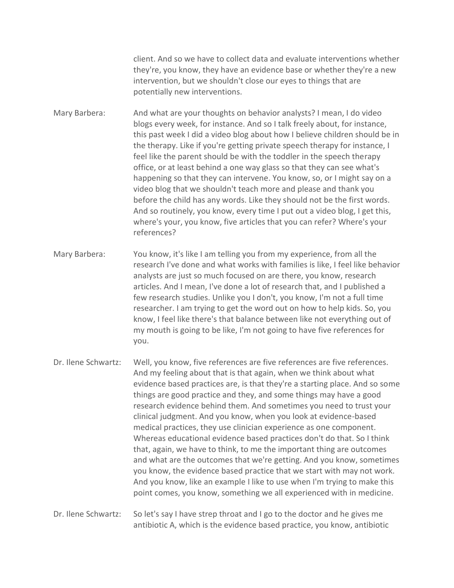client. And so we have to collect data and evaluate interventions whether they're, you know, they have an evidence base or whether they're a new intervention, but we shouldn't close our eyes to things that are potentially new interventions.

Mary Barbera: And what are your thoughts on behavior analysts? I mean, I do video blogs every week, for instance. And so I talk freely about, for instance, this past week I did a video blog about how I believe children should be in the therapy. Like if you're getting private speech therapy for instance, I feel like the parent should be with the toddler in the speech therapy office, or at least behind a one way glass so that they can see what's happening so that they can intervene. You know, so, or I might say on a video blog that we shouldn't teach more and please and thank you before the child has any words. Like they should not be the first words. And so routinely, you know, every time I put out a video blog, I get this, where's your, you know, five articles that you can refer? Where's your references?

Mary Barbera: You know, it's like I am telling you from my experience, from all the research I've done and what works with families is like, I feel like behavior analysts are just so much focused on are there, you know, research articles. And I mean, I've done a lot of research that, and I published a few research studies. Unlike you I don't, you know, I'm not a full time researcher. I am trying to get the word out on how to help kids. So, you know, I feel like there's that balance between like not everything out of my mouth is going to be like, I'm not going to have five references for you.

Dr. Ilene Schwartz: Well, you know, five references are five references are five references. And my feeling about that is that again, when we think about what evidence based practices are, is that they're a starting place. And so some things are good practice and they, and some things may have a good research evidence behind them. And sometimes you need to trust your clinical judgment. And you know, when you look at evidence-based medical practices, they use clinician experience as one component. Whereas educational evidence based practices don't do that. So I think that, again, we have to think, to me the important thing are outcomes and what are the outcomes that we're getting. And you know, sometimes you know, the evidence based practice that we start with may not work. And you know, like an example I like to use when I'm trying to make this point comes, you know, something we all experienced with in medicine.

Dr. Ilene Schwartz: So let's say I have strep throat and I go to the doctor and he gives me antibiotic A, which is the evidence based practice, you know, antibiotic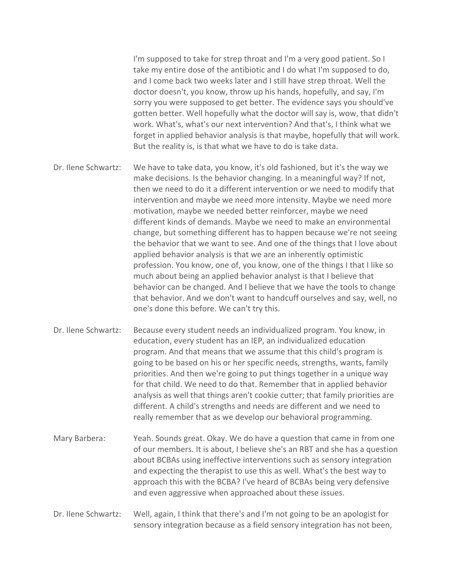I'm supposed to take for strep throat and I'm a very good patient. So I take my entire dose of the antibiotic and I do what I'm supposed to do, and I come back two weeks later and I still have strep throat. Well the doctor doesn't, you know, throw up his hands, hopefully, and say, I'm sorry you were supposed to get better. The evidence says you should've gotten better. Well hopefully what the doctor will say is, wow, that didn't work. What's, what's our next intervention? And that's, I think what we forget in applied behavior analysis is that maybe, hopefully that will work. But the reality is, is that what we have to do is take data.

- Dr. Ilene Schwartz: We have to take data, you know, it's old fashioned, but it's the way we make decisions. Is the behavior changing. In a meaningful way? If not, then we need to do it a different intervention or we need to modify that intervention and maybe we need more intensity. Maybe we need more motivation, maybe we needed better reinforcer, maybe we need different kinds of demands. Maybe we need to make an environmental change, but something different has to happen because we're not seeing the behavior that we want to see. And one of the things that I love about applied behavior analysis is that we are an inherently optimistic profession. You know, one of, you know, one of the things I that I like so much about being an applied behavior analyst is that I believe that behavior can be changed. And I believe that we have the tools to change that behavior. And we don't want to handcuff ourselves and say, well, no one's done this before. We can't try this.
- Dr. Ilene Schwartz: Because every student needs an individualized program. You know, in education, every student has an IEP, an individualized education program. And that means that we assume that this child's program is going to be based on his or her specific needs, strengths, wants, family priorities. And then we're going to put things together in a unique way for that child. We need to do that. Remember that in applied behavior analysis as well that things aren't cookie cutter; that family priorities are different. A child's strengths and needs are different and we need to really remember that as we develop our behavioral programming.
- Mary Barbera: Yeah. Sounds great. Okay. We do have a question that came in from one of our members. It is about, I believe she's an RBT and she has a question about BCBAs using ineffective interventions such as sensory integration and expecting the therapist to use this as well. What's the best way to approach this with the BCBA? I've heard of BCBAs being very defensive and even aggressive when approached about these issues.
- Dr. Ilene Schwartz: Well, again, I think that there's and I'm not going to be an apologist for sensory integration because as a field sensory integration has not been,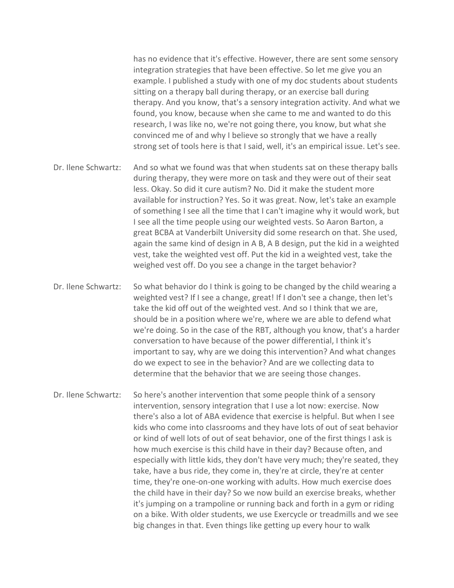has no evidence that it's effective. However, there are sent some sensory integration strategies that have been effective. So let me give you an example. I published a study with one of my doc students about students sitting on a therapy ball during therapy, or an exercise ball during therapy. And you know, that's a sensory integration activity. And what we found, you know, because when she came to me and wanted to do this research, I was like no, we're not going there, you know, but what she convinced me of and why I believe so strongly that we have a really strong set of tools here is that I said, well, it's an empirical issue. Let's see.

- Dr. Ilene Schwartz: And so what we found was that when students sat on these therapy balls during therapy, they were more on task and they were out of their seat less. Okay. So did it cure autism? No. Did it make the student more available for instruction? Yes. So it was great. Now, let's take an example of something I see all the time that I can't imagine why it would work, but I see all the time people using our weighted vests. So Aaron Barton, a great BCBA at Vanderbilt University did some research on that. She used, again the same kind of design in A B, A B design, put the kid in a weighted vest, take the weighted vest off. Put the kid in a weighted vest, take the weighed vest off. Do you see a change in the target behavior?
- Dr. Ilene Schwartz: So what behavior do I think is going to be changed by the child wearing a weighted vest? If I see a change, great! If I don't see a change, then let's take the kid off out of the weighted vest. And so I think that we are, should be in a position where we're, where we are able to defend what we're doing. So in the case of the RBT, although you know, that's a harder conversation to have because of the power differential, I think it's important to say, why are we doing this intervention? And what changes do we expect to see in the behavior? And are we collecting data to determine that the behavior that we are seeing those changes.
- Dr. Ilene Schwartz: So here's another intervention that some people think of a sensory intervention, sensory integration that I use a lot now: exercise. Now there's also a lot of ABA evidence that exercise is helpful. But when I see kids who come into classrooms and they have lots of out of seat behavior or kind of well lots of out of seat behavior, one of the first things I ask is how much exercise is this child have in their day? Because often, and especially with little kids, they don't have very much; they're seated, they take, have a bus ride, they come in, they're at circle, they're at center time, they're one-on-one working with adults. How much exercise does the child have in their day? So we now build an exercise breaks, whether it's jumping on a trampoline or running back and forth in a gym or riding on a bike. With older students, we use Exercycle or treadmills and we see big changes in that. Even things like getting up every hour to walk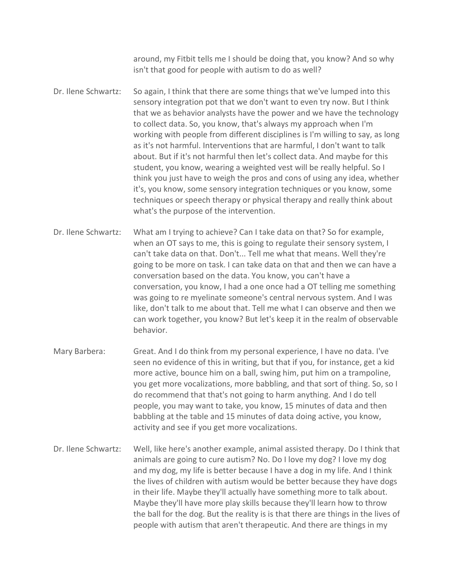around, my Fitbit tells me I should be doing that, you know? And so why isn't that good for people with autism to do as well?

Dr. Ilene Schwartz: So again, I think that there are some things that we've lumped into this sensory integration pot that we don't want to even try now. But I think that we as behavior analysts have the power and we have the technology to collect data. So, you know, that's always my approach when I'm working with people from different disciplines is I'm willing to say, as long as it's not harmful. Interventions that are harmful, I don't want to talk about. But if it's not harmful then let's collect data. And maybe for this student, you know, wearing a weighted vest will be really helpful. So I think you just have to weigh the pros and cons of using any idea, whether it's, you know, some sensory integration techniques or you know, some techniques or speech therapy or physical therapy and really think about what's the purpose of the intervention.

- Dr. Ilene Schwartz: What am I trying to achieve? Can I take data on that? So for example, when an OT says to me, this is going to regulate their sensory system, I can't take data on that. Don't... Tell me what that means. Well they're going to be more on task. I can take data on that and then we can have a conversation based on the data. You know, you can't have a conversation, you know, I had a one once had a OT telling me something was going to re myelinate someone's central nervous system. And I was like, don't talk to me about that. Tell me what I can observe and then we can work together, you know? But let's keep it in the realm of observable behavior.
- Mary Barbera: Great. And I do think from my personal experience, I have no data. I've seen no evidence of this in writing, but that if you, for instance, get a kid more active, bounce him on a ball, swing him, put him on a trampoline, you get more vocalizations, more babbling, and that sort of thing. So, so I do recommend that that's not going to harm anything. And I do tell people, you may want to take, you know, 15 minutes of data and then babbling at the table and 15 minutes of data doing active, you know, activity and see if you get more vocalizations.
- Dr. Ilene Schwartz: Well, like here's another example, animal assisted therapy. Do I think that animals are going to cure autism? No. Do I love my dog? I love my dog and my dog, my life is better because I have a dog in my life. And I think the lives of children with autism would be better because they have dogs in their life. Maybe they'll actually have something more to talk about. Maybe they'll have more play skills because they'll learn how to throw the ball for the dog. But the reality is is that there are things in the lives of people with autism that aren't therapeutic. And there are things in my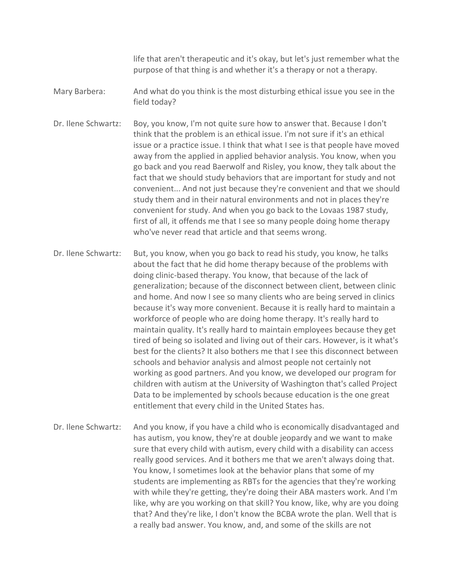life that aren't therapeutic and it's okay, but let's just remember what the purpose of that thing is and whether it's a therapy or not a therapy.

- Mary Barbera: And what do you think is the most disturbing ethical issue you see in the field today?
- Dr. Ilene Schwartz: Boy, you know, I'm not quite sure how to answer that. Because I don't think that the problem is an ethical issue. I'm not sure if it's an ethical issue or a practice issue. I think that what I see is that people have moved away from the applied in applied behavior analysis. You know, when you go back and you read Baerwolf and Risley, you know, they talk about the fact that we should study behaviors that are important for study and not convenient... And not just because they're convenient and that we should study them and in their natural environments and not in places they're convenient for study. And when you go back to the Lovaas 1987 study, first of all, it offends me that I see so many people doing home therapy who've never read that article and that seems wrong.
- Dr. Ilene Schwartz: But, you know, when you go back to read his study, you know, he talks about the fact that he did home therapy because of the problems with doing clinic-based therapy. You know, that because of the lack of generalization; because of the disconnect between client, between clinic and home. And now I see so many clients who are being served in clinics because it's way more convenient. Because it is really hard to maintain a workforce of people who are doing home therapy. It's really hard to maintain quality. It's really hard to maintain employees because they get tired of being so isolated and living out of their cars. However, is it what's best for the clients? It also bothers me that I see this disconnect between schools and behavior analysis and almost people not certainly not working as good partners. And you know, we developed our program for children with autism at the University of Washington that's called Project Data to be implemented by schools because education is the one great entitlement that every child in the United States has.
- Dr. Ilene Schwartz: And you know, if you have a child who is economically disadvantaged and has autism, you know, they're at double jeopardy and we want to make sure that every child with autism, every child with a disability can access really good services. And it bothers me that we aren't always doing that. You know, I sometimes look at the behavior plans that some of my students are implementing as RBTs for the agencies that they're working with while they're getting, they're doing their ABA masters work. And I'm like, why are you working on that skill? You know, like, why are you doing that? And they're like, I don't know the BCBA wrote the plan. Well that is a really bad answer. You know, and, and some of the skills are not